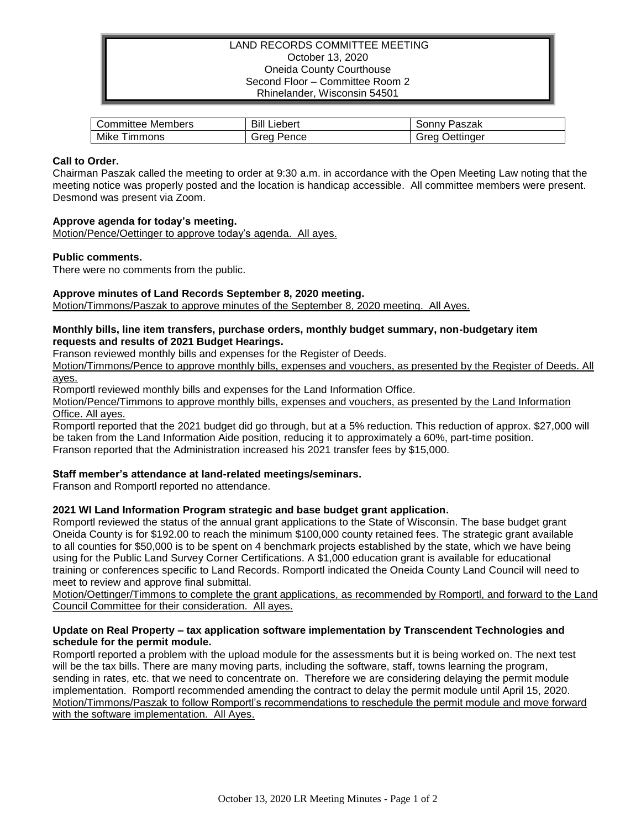## LAND RECORDS COMMITTEE MEETING October 13, 2020 Oneida County Courthouse Second Floor – Committee Room 2 Rhinelander, Wisconsin 54501

| Members               | Bill                  | Paszak            |
|-----------------------|-----------------------|-------------------|
| .committee            | Liebert               | ' onnvٽ           |
| Mike<br><b>Immons</b> | ∶ran<br>Pence<br>are- | Jettinger<br>irea |

## **Call to Order.**

Chairman Paszak called the meeting to order at 9:30 a.m. in accordance with the Open Meeting Law noting that the meeting notice was properly posted and the location is handicap accessible. All committee members were present. Desmond was present via Zoom.

## **Approve agenda for today's meeting.**

Motion/Pence/Oettinger to approve today's agenda. All ayes.

#### **Public comments.**

There were no comments from the public.

## **Approve minutes of Land Records September 8, 2020 meeting.**

Motion/Timmons/Paszak to approve minutes of the September 8, 2020 meeting. All Ayes.

#### **Monthly bills, line item transfers, purchase orders, monthly budget summary, non-budgetary item requests and results of 2021 Budget Hearings.**

Franson reviewed monthly bills and expenses for the Register of Deeds.

Motion/Timmons/Pence to approve monthly bills, expenses and vouchers, as presented by the Register of Deeds. All ayes.

Romportl reviewed monthly bills and expenses for the Land Information Office.

Motion/Pence/Timmons to approve monthly bills, expenses and vouchers, as presented by the Land Information Office. All ayes.

Romportl reported that the 2021 budget did go through, but at a 5% reduction. This reduction of approx. \$27,000 will be taken from the Land Information Aide position, reducing it to approximately a 60%, part-time position. Franson reported that the Administration increased his 2021 transfer fees by \$15,000.

#### **Staff member's attendance at land-related meetings/seminars.**

Franson and Romportl reported no attendance.

#### **2021 WI Land Information Program strategic and base budget grant application.**

Romportl reviewed the status of the annual grant applications to the State of Wisconsin. The base budget grant Oneida County is for \$192.00 to reach the minimum \$100,000 county retained fees. The strategic grant available to all counties for \$50,000 is to be spent on 4 benchmark projects established by the state, which we have being using for the Public Land Survey Corner Certifications. A \$1,000 education grant is available for educational training or conferences specific to Land Records. Romportl indicated the Oneida County Land Council will need to meet to review and approve final submittal.

Motion/Oettinger/Timmons to complete the grant applications, as recommended by Romportl, and forward to the Land Council Committee for their consideration. All ayes.

## **Update on Real Property – tax application software implementation by Transcendent Technologies and schedule for the permit module.**

Romportl reported a problem with the upload module for the assessments but it is being worked on. The next test will be the tax bills. There are many moving parts, including the software, staff, towns learning the program, sending in rates, etc. that we need to concentrate on. Therefore we are considering delaying the permit module implementation. Romportl recommended amending the contract to delay the permit module until April 15, 2020. Motion/Timmons/Paszak to follow Romportl's recommendations to reschedule the permit module and move forward with the software implementation. All Ayes.